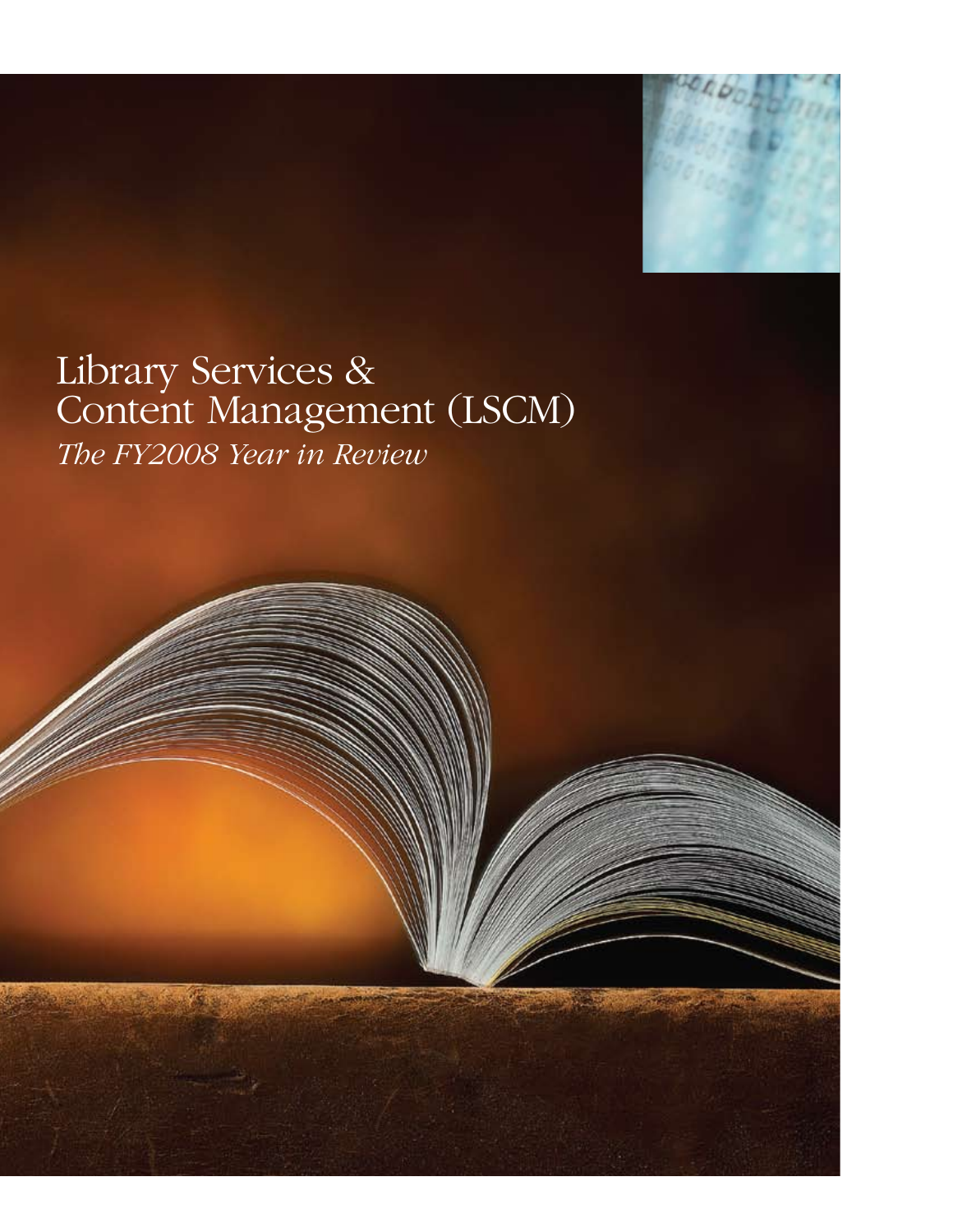

# Library Services & Content Management (LSCM) *The FY2008 Year in Review*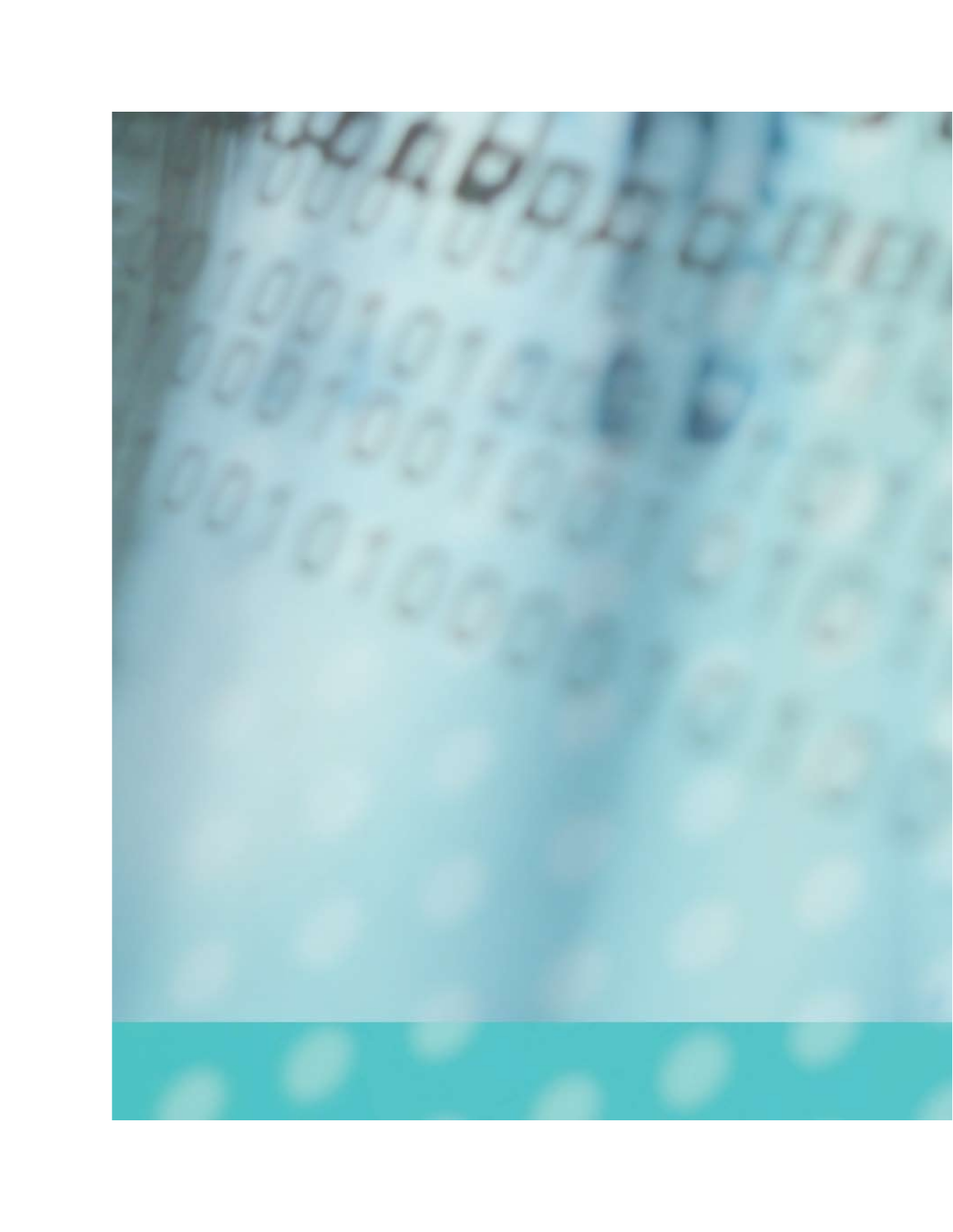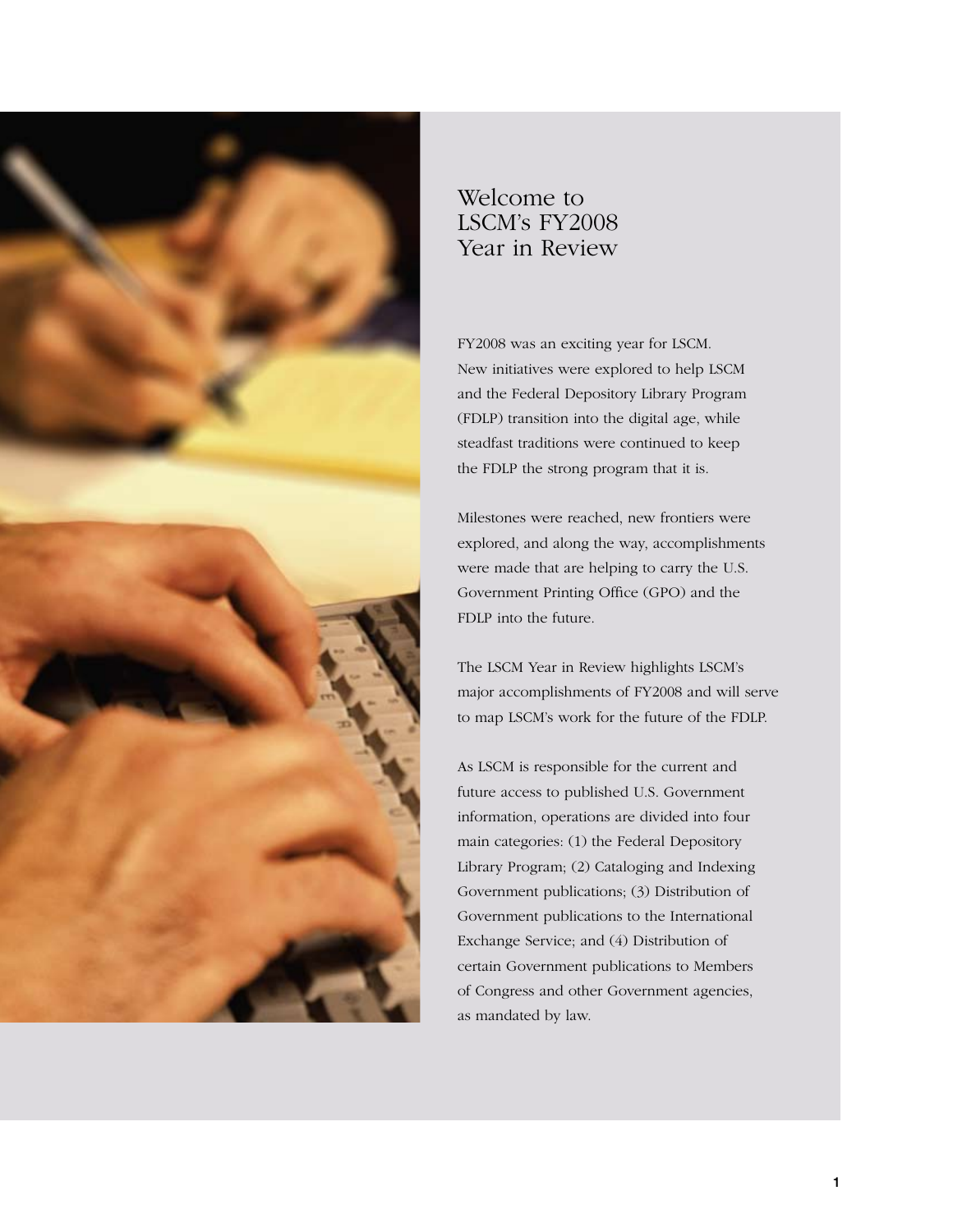

### Welcome to LSCM's FY2008 Year in Review

FY2008 was an exciting year for LSCM. New initiatives were explored to help LSCM and the Federal Depository Library Program (FDLP) transition into the digital age, while steadfast traditions were continued to keep the FDLP the strong program that it is.

Milestones were reached, new frontiers were explored, and along the way, accomplishments were made that are helping to carry the U.S. Government Printing Office (GPO) and the FDLP into the future.

The LSCM Year in Review highlights LSCM's major accomplishments of FY2008 and will serve to map LSCM's work for the future of the FDLP.

As LSCM is responsible for the current and future access to published U.S. Government information, operations are divided into four main categories: (1) the Federal Depository Library Program; (2) Cataloging and Indexing Government publications; (3) Distribution of Government publications to the International Exchange Service; and (4) Distribution of certain Government publications to Members of Congress and other Government agencies, as mandated by law.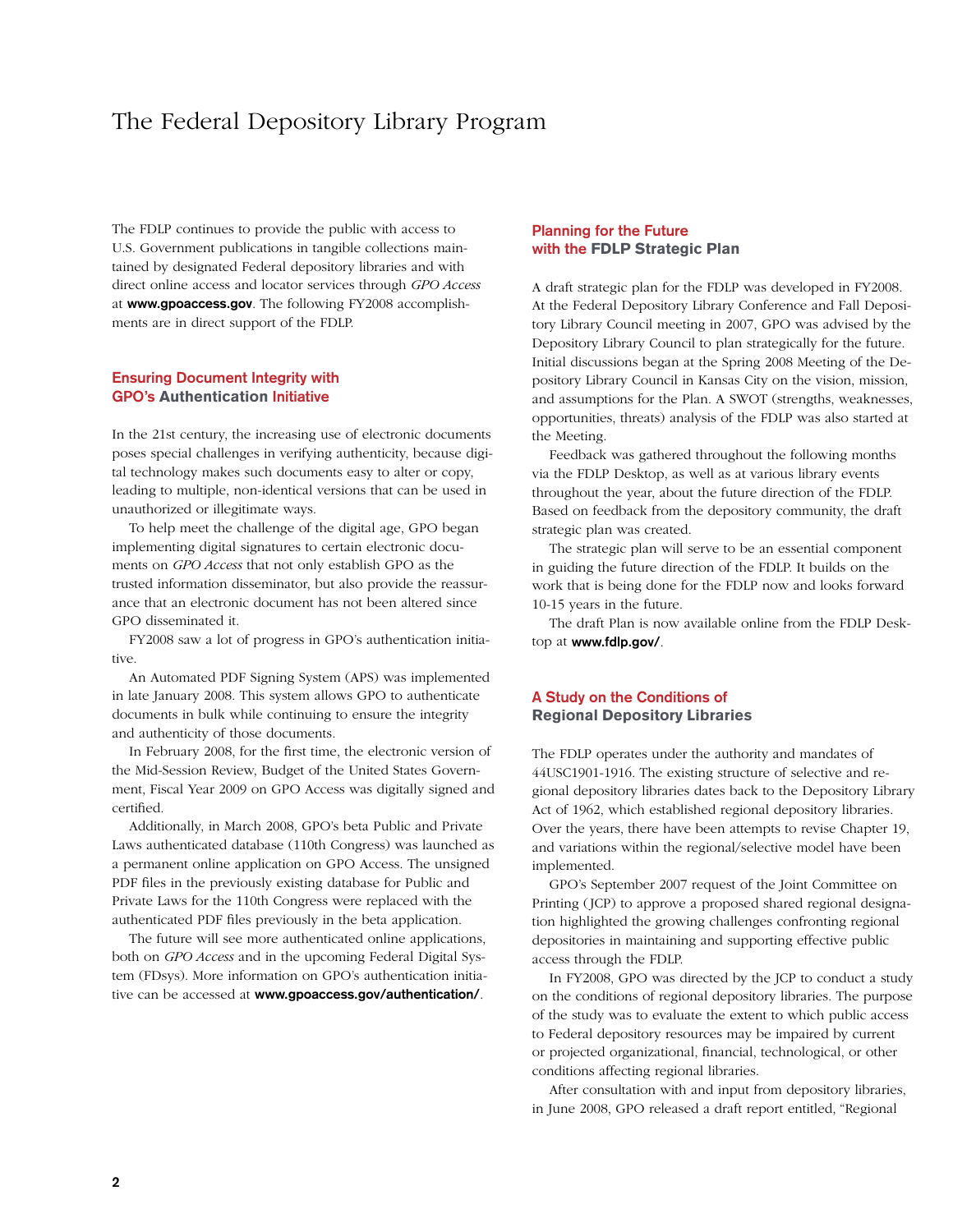### The Federal Depository Library Program

The FDLP continues to provide the public with access to U.S. Government publications in tangible collections maintained by designated Federal depository libraries and with direct online access and locator services through *GPO Access* at **www.gpoaccess.gov**. The following FY2008 accomplishments are in direct support of the FDLP.

#### **Ensuring Document Integrity with GPO's** Authentication **Initiative**

In the 21st century, the increasing use of electronic documents poses special challenges in verifying authenticity, because digital technology makes such documents easy to alter or copy, leading to multiple, non-identical versions that can be used in unauthorized or illegitimate ways.

To help meet the challenge of the digital age, GPO began implementing digital signatures to certain electronic documents on *GPO Access* that not only establish GPO as the trusted information disseminator, but also provide the reassurance that an electronic document has not been altered since GPO disseminated it.

FY2008 saw a lot of progress in GPO's authentication initiative.

An Automated PDF Signing System (APS) was implemented in late January 2008. This system allows GPO to authenticate documents in bulk while continuing to ensure the integrity and authenticity of those documents.

In February 2008, for the first time, the electronic version of the Mid-Session Review, Budget of the United States Government, Fiscal Year 2009 on GPO Access was digitally signed and certified.

Additionally, in March 2008, GPO's beta Public and Private Laws authenticated database (110th Congress) was launched as a permanent online application on GPO Access. The unsigned PDF files in the previously existing database for Public and Private Laws for the 110th Congress were replaced with the authenticated PDF files previously in the beta application.

The future will see more authenticated online applications, both on *GPO Access* and in the upcoming Federal Digital System (FDsys). More information on GPO's authentication initiative can be accessed at **www.gpoaccess.gov/authentication/**.

#### **Planning for the Future with the** FDLP Strategic Plan

A draft strategic plan for the FDLP was developed in FY2008. At the Federal Depository Library Conference and Fall Depository Library Council meeting in 2007, GPO was advised by the Depository Library Council to plan strategically for the future. Initial discussions began at the Spring 2008 Meeting of the Depository Library Council in Kansas City on the vision, mission, and assumptions for the Plan. A SWOT (strengths, weaknesses, opportunities, threats) analysis of the FDLP was also started at the Meeting.

Feedback was gathered throughout the following months via the FDLP Desktop, as well as at various library events throughout the year, about the future direction of the FDLP. Based on feedback from the depository community, the draft strategic plan was created.

The strategic plan will serve to be an essential component in guiding the future direction of the FDLP. It builds on the work that is being done for the FDLP now and looks forward 10-15 years in the future.

The draft Plan is now available online from the FDLP Desktop at **www.fdlp.gov/**.

#### **A Study on the Conditions of**  Regional Depository Libraries

The FDLP operates under the authority and mandates of 44USC1901-1916. The existing structure of selective and regional depository libraries dates back to the Depository Library Act of 1962, which established regional depository libraries. Over the years, there have been attempts to revise Chapter 19, and variations within the regional/selective model have been implemented.

GPO's September 2007 request of the Joint Committee on Printing (JCP) to approve a proposed shared regional designation highlighted the growing challenges confronting regional depositories in maintaining and supporting effective public access through the FDLP.

In FY2008, GPO was directed by the JCP to conduct a study on the conditions of regional depository libraries. The purpose of the study was to evaluate the extent to which public access to Federal depository resources may be impaired by current or projected organizational, financial, technological, or other conditions affecting regional libraries.

After consultation with and input from depository libraries, in June 2008, GPO released a draft report entitled, "Regional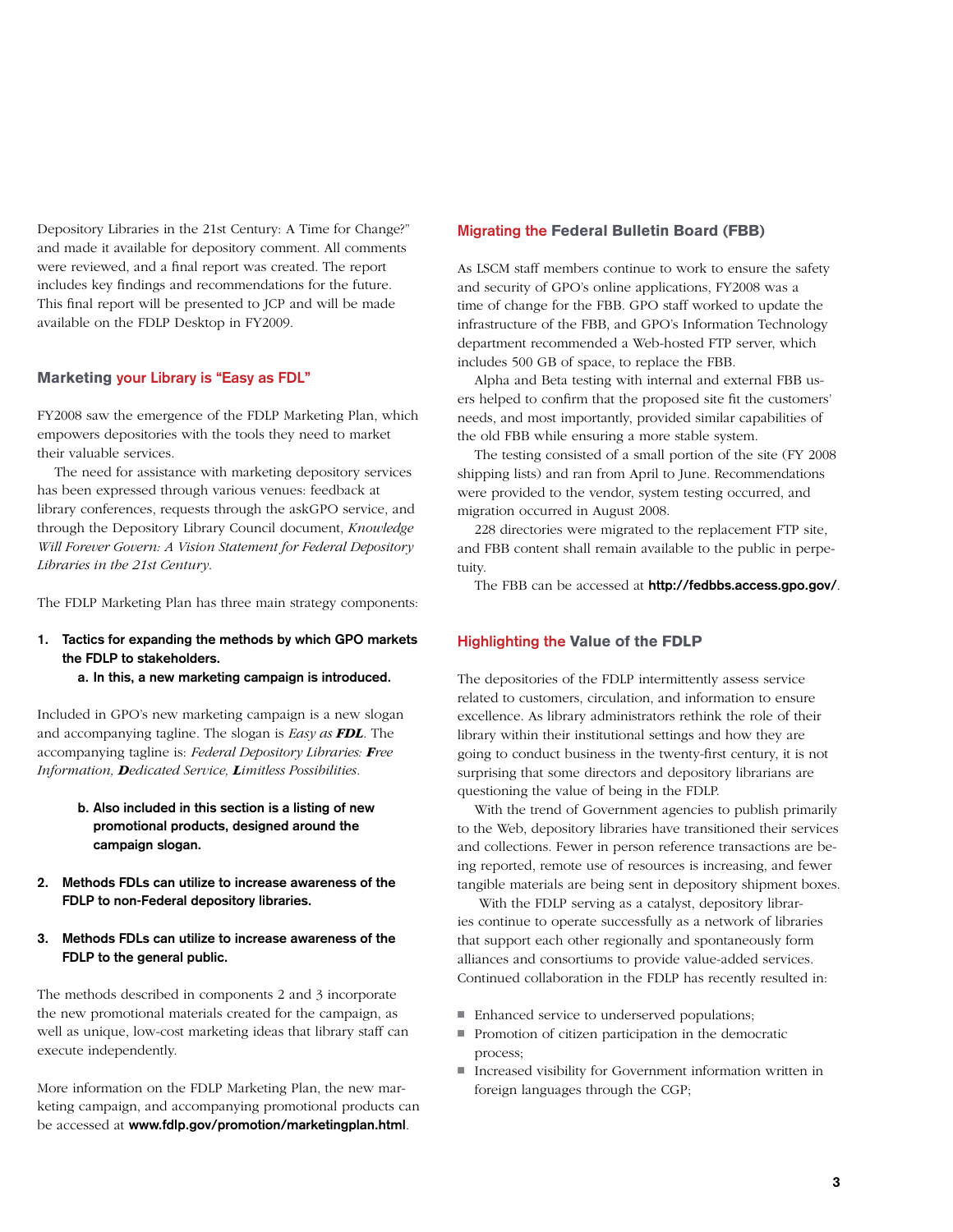Depository Libraries in the 21st Century: A Time for Change?" and made it available for depository comment. All comments were reviewed, and a final report was created. The report includes key findings and recommendations for the future. This final report will be presented to JCP and will be made available on the FDLP Desktop in FY2009.

#### Marketing **your Library is "Easy as FDL"**

FY2008 saw the emergence of the FDLP Marketing Plan, which empowers depositories with the tools they need to market their valuable services.

The need for assistance with marketing depository services has been expressed through various venues: feedback at library conferences, requests through the askGPO service, and through the Depository Library Council document, *Knowledge Will Forever Govern: A Vision Statement for Federal Depository Libraries in the 21st Century*.

The FDLP Marketing Plan has three main strategy components:

#### **1. Tactics for expanding the methods by which GPO markets the FDLP to stakeholders.**

#### **a. In this, a new marketing campaign is introduced.**

Included in GPO's new marketing campaign is a new slogan and accompanying tagline. The slogan is *Easy as FDL*. The accompanying tagline is: *Federal Depository Libraries: Free Information, Dedicated Service, Limitless Possibilities*.

#### **b. Also included in this section is a listing of new promotional products, designed around the campaign slogan.**

**2. Methods FDLs can utilize to increase awareness of the FDLP to non-Federal depository libraries.**

#### **3. Methods FDLs can utilize to increase awareness of the FDLP to the general public.**

The methods described in components 2 and 3 incorporate the new promotional materials created for the campaign, as well as unique, low-cost marketing ideas that library staff can execute independently.

More information on the FDLP Marketing Plan, the new marketing campaign, and accompanying promotional products can be accessed at **www.fdlp.gov/promotion/marketingplan.html**.

#### **Migrating the** Federal Bulletin Board (FBB)

As LSCM staff members continue to work to ensure the safety and security of GPO's online applications, FY2008 was a time of change for the FBB. GPO staff worked to update the infrastructure of the FBB, and GPO's Information Technology department recommended a Web-hosted FTP server, which includes 500 GB of space, to replace the FBB.

Alpha and Beta testing with internal and external FBB users helped to confirm that the proposed site fit the customers' needs, and most importantly, provided similar capabilities of the old FBB while ensuring a more stable system.

The testing consisted of a small portion of the site (FY 2008 shipping lists) and ran from April to June. Recommendations were provided to the vendor, system testing occurred, and migration occurred in August 2008.

228 directories were migrated to the replacement FTP site, and FBB content shall remain available to the public in perpetuity.

The FBB can be accessed at **http://fedbbs.access.gpo.gov/**.

#### **Highlighting the** Value of the FDLP

The depositories of the FDLP intermittently assess service related to customers, circulation, and information to ensure excellence. As library administrators rethink the role of their library within their institutional settings and how they are going to conduct business in the twenty-first century, it is not surprising that some directors and depository librarians are questioning the value of being in the FDLP.

With the trend of Government agencies to publish primarily to the Web, depository libraries have transitioned their services and collections. Fewer in person reference transactions are being reported, remote use of resources is increasing, and fewer tangible materials are being sent in depository shipment boxes.

 With the FDLP serving as a catalyst, depository libraries continue to operate successfully as a network of libraries that support each other regionally and spontaneously form alliances and consortiums to provide value-added services. Continued collaboration in the FDLP has recently resulted in:

- $\blacksquare$  Enhanced service to underserved populations;
- Promotion of citizen participation in the democratic process;
- Increased visibility for Government information written in foreign languages through the CGP;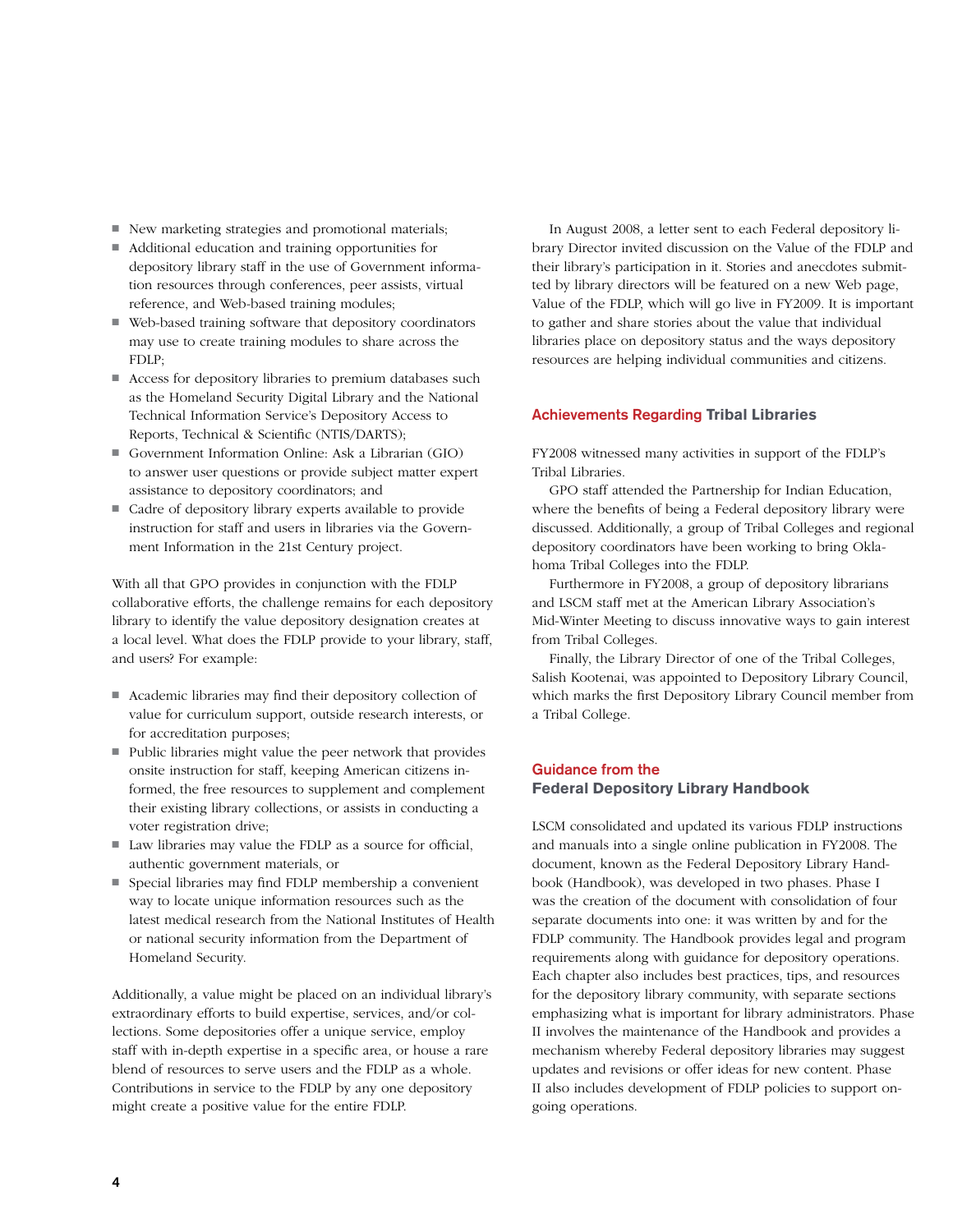- $\blacksquare$  New marketing strategies and promotional materials;
- $\blacksquare$  Additional education and training opportunities for depository library staff in the use of Government information resources through conferences, peer assists, virtual reference, and Web-based training modules;
- Web-based training software that depository coordinators may use to create training modules to share across the FDLP;
- $\blacksquare$  Access for depository libraries to premium databases such as the Homeland Security Digital Library and the National Technical Information Service's Depository Access to Reports, Technical & Scientific (NTIS/DARTS);
- Government Information Online: Ask a Librarian (GIO) to answer user questions or provide subject matter expert assistance to depository coordinators; and
- $\blacksquare$  Cadre of depository library experts available to provide instruction for staff and users in libraries via the Government Information in the 21st Century project.

With all that GPO provides in conjunction with the FDLP collaborative efforts, the challenge remains for each depository library to identify the value depository designation creates at a local level. What does the FDLP provide to your library, staff, and users? For example:

- $\blacksquare$  Academic libraries may find their depository collection of value for curriculum support, outside research interests, or for accreditation purposes;
- $\blacksquare$  Public libraries might value the peer network that provides onsite instruction for staff, keeping American citizens informed, the free resources to supplement and complement their existing library collections, or assists in conducting a voter registration drive;
- $\blacksquare$  Law libraries may value the FDLP as a source for official, authentic government materials, or
- $\blacksquare$  Special libraries may find FDLP membership a convenient way to locate unique information resources such as the latest medical research from the National Institutes of Health or national security information from the Department of Homeland Security.

Additionally, a value might be placed on an individual library's extraordinary efforts to build expertise, services, and/or collections. Some depositories offer a unique service, employ staff with in-depth expertise in a specific area, or house a rare blend of resources to serve users and the FDLP as a whole. Contributions in service to the FDLP by any one depository might create a positive value for the entire FDLP.

In August 2008, a letter sent to each Federal depository library Director invited discussion on the Value of the FDLP and their library's participation in it. Stories and anecdotes submitted by library directors will be featured on a new Web page, Value of the FDLP, which will go live in FY2009. It is important to gather and share stories about the value that individual libraries place on depository status and the ways depository resources are helping individual communities and citizens.

#### **Achievements Regarding** Tribal Libraries

FY2008 witnessed many activities in support of the FDLP's Tribal Libraries.

GPO staff attended the Partnership for Indian Education, where the benefits of being a Federal depository library were discussed. Additionally, a group of Tribal Colleges and regional depository coordinators have been working to bring Oklahoma Tribal Colleges into the FDLP.

Furthermore in FY2008, a group of depository librarians and LSCM staff met at the American Library Association's Mid-Winter Meeting to discuss innovative ways to gain interest from Tribal Colleges.

Finally, the Library Director of one of the Tribal Colleges, Salish Kootenai, was appointed to Depository Library Council, which marks the first Depository Library Council member from a Tribal College.

#### **Guidance from the**  Federal Depository Library Handbook

LSCM consolidated and updated its various FDLP instructions and manuals into a single online publication in FY2008. The document, known as the Federal Depository Library Handbook (Handbook), was developed in two phases. Phase I was the creation of the document with consolidation of four separate documents into one: it was written by and for the FDLP community. The Handbook provides legal and program requirements along with guidance for depository operations. Each chapter also includes best practices, tips, and resources for the depository library community, with separate sections emphasizing what is important for library administrators. Phase II involves the maintenance of the Handbook and provides a mechanism whereby Federal depository libraries may suggest updates and revisions or offer ideas for new content. Phase II also includes development of FDLP policies to support ongoing operations.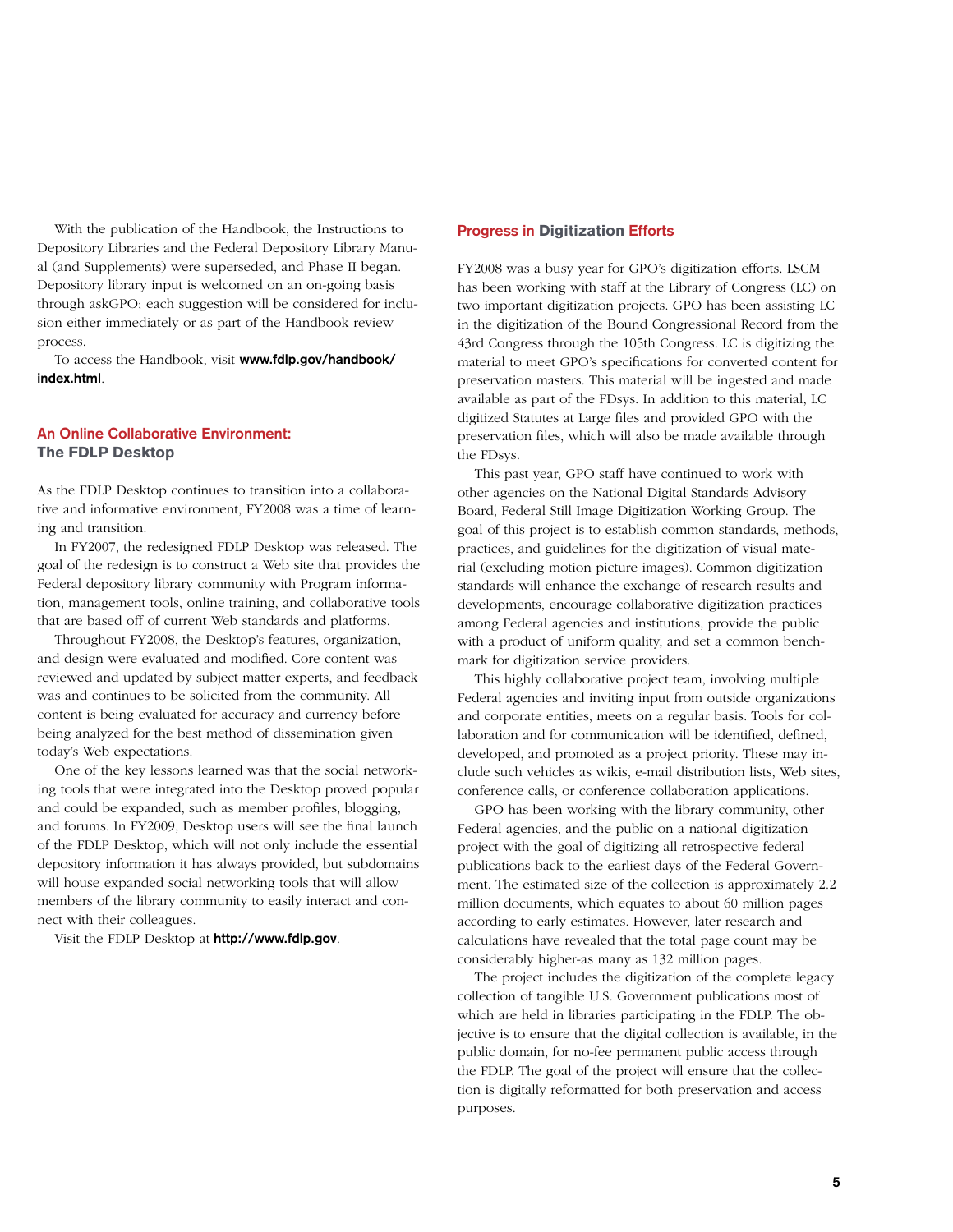With the publication of the Handbook, the Instructions to Depository Libraries and the Federal Depository Library Manual (and Supplements) were superseded, and Phase II began. Depository library input is welcomed on an on-going basis through askGPO; each suggestion will be considered for inclusion either immediately or as part of the Handbook review process.

To access the Handbook, visit **www.fdlp.gov/handbook/ index.html**.

#### **An Online Collaborative Environment:**  The FDLP Desktop

As the FDLP Desktop continues to transition into a collaborative and informative environment, FY2008 was a time of learning and transition.

In FY2007, the redesigned FDLP Desktop was released. The goal of the redesign is to construct a Web site that provides the Federal depository library community with Program information, management tools, online training, and collaborative tools that are based off of current Web standards and platforms.

Throughout FY2008, the Desktop's features, organization, and design were evaluated and modified. Core content was reviewed and updated by subject matter experts, and feedback was and continues to be solicited from the community. All content is being evaluated for accuracy and currency before being analyzed for the best method of dissemination given today's Web expectations.

One of the key lessons learned was that the social networking tools that were integrated into the Desktop proved popular and could be expanded, such as member profiles, blogging, and forums. In FY2009, Desktop users will see the final launch of the FDLP Desktop, which will not only include the essential depository information it has always provided, but subdomains will house expanded social networking tools that will allow members of the library community to easily interact and connect with their colleagues.

Visit the FDLP Desktop at **http://www.fdlp.gov**.

#### **Progress in** Digitization **Efforts**

FY2008 was a busy year for GPO's digitization efforts. LSCM has been working with staff at the Library of Congress (LC) on two important digitization projects. GPO has been assisting LC in the digitization of the Bound Congressional Record from the 43rd Congress through the 105th Congress. LC is digitizing the material to meet GPO's specifications for converted content for preservation masters. This material will be ingested and made available as part of the FDsys. In addition to this material, LC digitized Statutes at Large files and provided GPO with the preservation files, which will also be made available through the FDsys.

This past year, GPO staff have continued to work with other agencies on the National Digital Standards Advisory Board, Federal Still Image Digitization Working Group. The goal of this project is to establish common standards, methods, practices, and guidelines for the digitization of visual material (excluding motion picture images). Common digitization standards will enhance the exchange of research results and developments, encourage collaborative digitization practices among Federal agencies and institutions, provide the public with a product of uniform quality, and set a common benchmark for digitization service providers.

This highly collaborative project team, involving multiple Federal agencies and inviting input from outside organizations and corporate entities, meets on a regular basis. Tools for collaboration and for communication will be identified, defined, developed, and promoted as a project priority. These may include such vehicles as wikis, e-mail distribution lists, Web sites, conference calls, or conference collaboration applications.

GPO has been working with the library community, other Federal agencies, and the public on a national digitization project with the goal of digitizing all retrospective federal publications back to the earliest days of the Federal Government. The estimated size of the collection is approximately 2.2 million documents, which equates to about 60 million pages according to early estimates. However, later research and calculations have revealed that the total page count may be considerably higher-as many as 132 million pages.

The project includes the digitization of the complete legacy collection of tangible U.S. Government publications most of which are held in libraries participating in the FDLP. The objective is to ensure that the digital collection is available, in the public domain, for no-fee permanent public access through the FDLP. The goal of the project will ensure that the collection is digitally reformatted for both preservation and access purposes.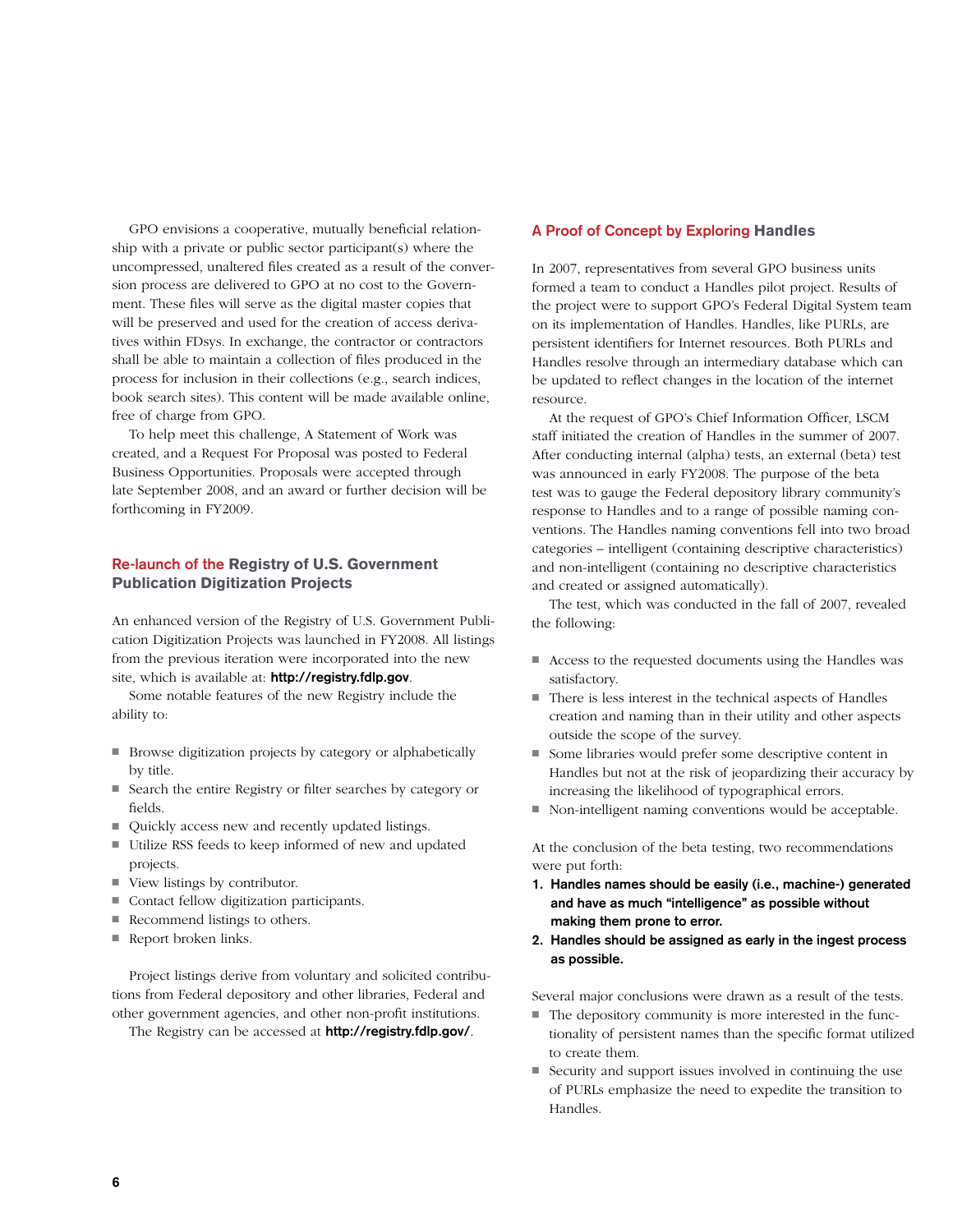GPO envisions a cooperative, mutually beneficial relationship with a private or public sector participant(s) where the uncompressed, unaltered files created as a result of the conversion process are delivered to GPO at no cost to the Government. These files will serve as the digital master copies that will be preserved and used for the creation of access derivatives within FDsys. In exchange, the contractor or contractors shall be able to maintain a collection of files produced in the process for inclusion in their collections (e.g., search indices, book search sites). This content will be made available online, free of charge from GPO.

To help meet this challenge, A Statement of Work was created, and a Request For Proposal was posted to Federal Business Opportunities. Proposals were accepted through late September 2008, and an award or further decision will be forthcoming in FY2009.

#### **Re-launch of the** Registry of U.S. Government Publication Digitization Projects

An enhanced version of the Registry of U.S. Government Publication Digitization Projects was launched in FY2008. All listings from the previous iteration were incorporated into the new site, which is available at: **http://registry.fdlp.gov**.

Some notable features of the new Registry include the ability to:

- $\blacksquare$  Browse digitization projects by category or alphabetically by title.
- Search the entire Registry or filter searches by category or fields.
- $\blacksquare$  Quickly access new and recently updated listings.
- Utilize RSS feeds to keep informed of new and updated projects.
- $\blacksquare$  View listings by contributor.
- $\blacksquare$  Contact fellow digitization participants.
- $\blacksquare$  Recommend listings to others.
- $\blacksquare$  Report broken links.

Project listings derive from voluntary and solicited contributions from Federal depository and other libraries, Federal and other government agencies, and other non-profit institutions.

The Registry can be accessed at **http://registry.fdlp.gov/**.

#### **A Proof of Concept by Exploring** Handles

In 2007, representatives from several GPO business units formed a team to conduct a Handles pilot project. Results of the project were to support GPO's Federal Digital System team on its implementation of Handles. Handles, like PURLs, are persistent identifiers for Internet resources. Both PURLs and Handles resolve through an intermediary database which can be updated to reflect changes in the location of the internet resource.

At the request of GPO's Chief Information Officer, LSCM staff initiated the creation of Handles in the summer of 2007. After conducting internal (alpha) tests, an external (beta) test was announced in early FY2008. The purpose of the beta test was to gauge the Federal depository library community's response to Handles and to a range of possible naming conventions. The Handles naming conventions fell into two broad categories – intelligent (containing descriptive characteristics) and non-intelligent (containing no descriptive characteristics and created or assigned automatically).

The test, which was conducted in the fall of 2007, revealed the following:

- Access to the requested documents using the Handles was satisfactory.
- $\blacksquare$  There is less interest in the technical aspects of Handles creation and naming than in their utility and other aspects outside the scope of the survey.
- Some libraries would prefer some descriptive content in Handles but not at the risk of jeopardizing their accuracy by increasing the likelihood of typographical errors.
- $\blacksquare$  Non-intelligent naming conventions would be acceptable.

At the conclusion of the beta testing, two recommendations were put forth:

- **1. Handles names should be easily (i.e., machine-) generated and have as much "intelligence" as possible without making them prone to error.**
- **2. Handles should be assigned as early in the ingest process as possible.**

Several major conclusions were drawn as a result of the tests.

- $\blacksquare$  The depository community is more interested in the functionality of persistent names than the specific format utilized to create them.
- $\blacksquare$  Security and support issues involved in continuing the use of PURLs emphasize the need to expedite the transition to Handles.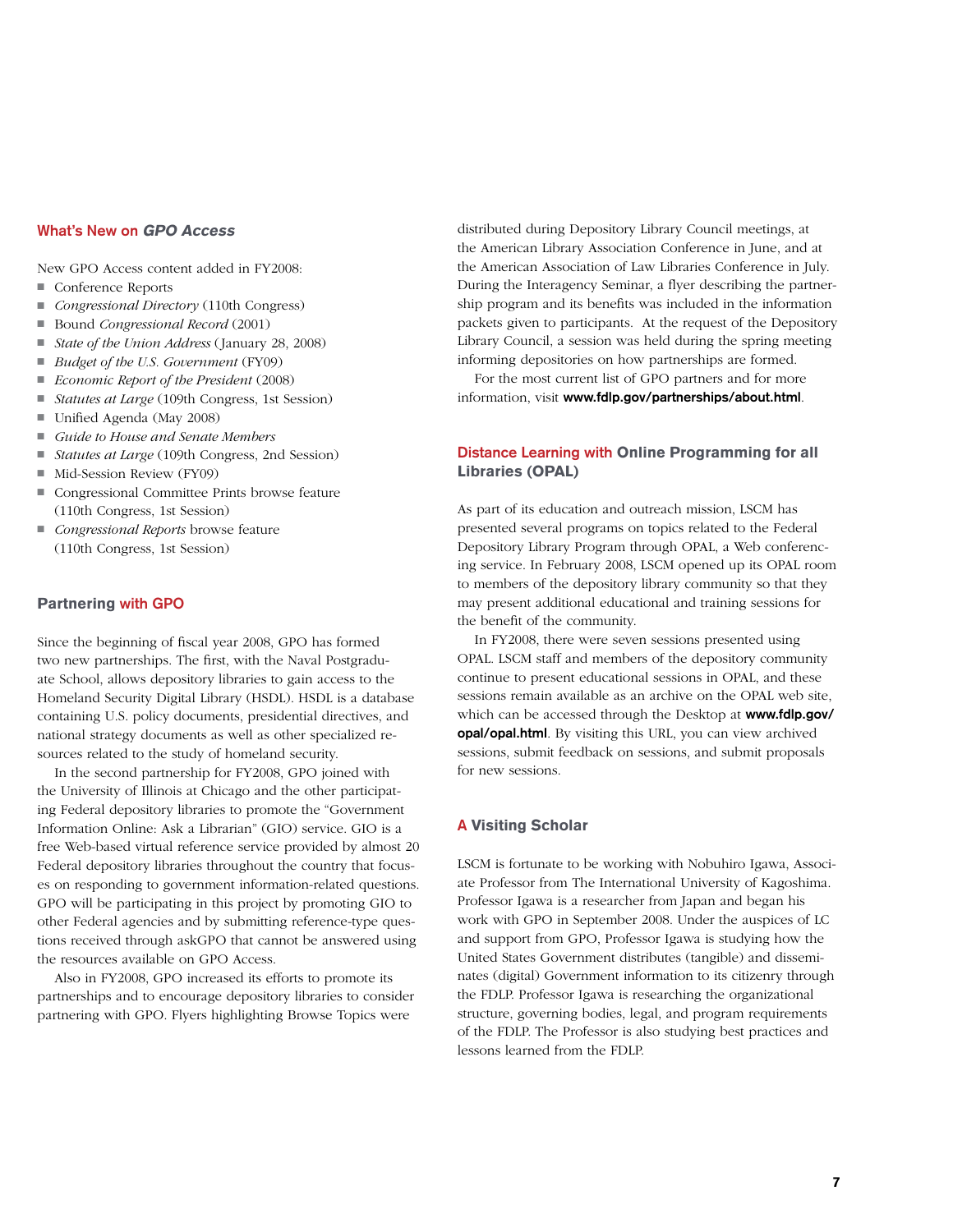#### **What's New on** GPO Access

New GPO Access content added in FY2008:

- $\blacksquare$  Conference Reports
- *Congressional Directory* (110th Congress)
- Bound *Congressional Record* (2001)
- *State of the Union Address* (January 28, 2008)
- *Budget of the U.S. Government* (FY09)
- *Economic Report of the President* (2008)
- *Statutes at Large* (109th Congress, 1st Session)
- Unified Agenda (May 2008)
- *Guide to House and Senate Members*
- *Statutes at Large* (109th Congress, 2nd Session)
- $\blacksquare$  Mid-Session Review (FY09)
- Congressional Committee Prints browse feature (110th Congress, 1st Session)
- *Congressional Reports* browse feature (110th Congress, 1st Session)

#### Partnering **with GPO**

Since the beginning of fiscal year 2008, GPO has formed two new partnerships. The first, with the Naval Postgraduate School, allows depository libraries to gain access to the Homeland Security Digital Library (HSDL). HSDL is a database containing U.S. policy documents, presidential directives, and national strategy documents as well as other specialized resources related to the study of homeland security.

In the second partnership for FY2008, GPO joined with the University of Illinois at Chicago and the other participating Federal depository libraries to promote the "Government Information Online: Ask a Librarian" (GIO) service. GIO is a free Web-based virtual reference service provided by almost 20 Federal depository libraries throughout the country that focuses on responding to government information-related questions. GPO will be participating in this project by promoting GIO to other Federal agencies and by submitting reference-type questions received through askGPO that cannot be answered using the resources available on GPO Access.

Also in FY2008, GPO increased its efforts to promote its partnerships and to encourage depository libraries to consider partnering with GPO. Flyers highlighting Browse Topics were

distributed during Depository Library Council meetings, at the American Library Association Conference in June, and at the American Association of Law Libraries Conference in July. During the Interagency Seminar, a flyer describing the partnership program and its benefits was included in the information packets given to participants. At the request of the Depository Library Council, a session was held during the spring meeting informing depositories on how partnerships are formed.

For the most current list of GPO partners and for more information, visit **www.fdlp.gov/partnerships/about.html**.

#### **Distance Learning with** Online Programming for all Libraries (OPAL)

As part of its education and outreach mission, LSCM has presented several programs on topics related to the Federal Depository Library Program through OPAL, a Web conferencing service. In February 2008, LSCM opened up its OPAL room to members of the depository library community so that they may present additional educational and training sessions for the benefit of the community.

In FY2008, there were seven sessions presented using OPAL. LSCM staff and members of the depository community continue to present educational sessions in OPAL, and these sessions remain available as an archive on the OPAL web site, which can be accessed through the Desktop at **www.fdlp.gov/ opal/opal.html**. By visiting this URL, you can view archived sessions, submit feedback on sessions, and submit proposals for new sessions.

#### **A** Visiting Scholar

LSCM is fortunate to be working with Nobuhiro Igawa, Associate Professor from The International University of Kagoshima. Professor Igawa is a researcher from Japan and began his work with GPO in September 2008. Under the auspices of LC and support from GPO, Professor Igawa is studying how the United States Government distributes (tangible) and disseminates (digital) Government information to its citizenry through the FDLP. Professor Igawa is researching the organizational structure, governing bodies, legal, and program requirements of the FDLP. The Professor is also studying best practices and lessons learned from the FDLP.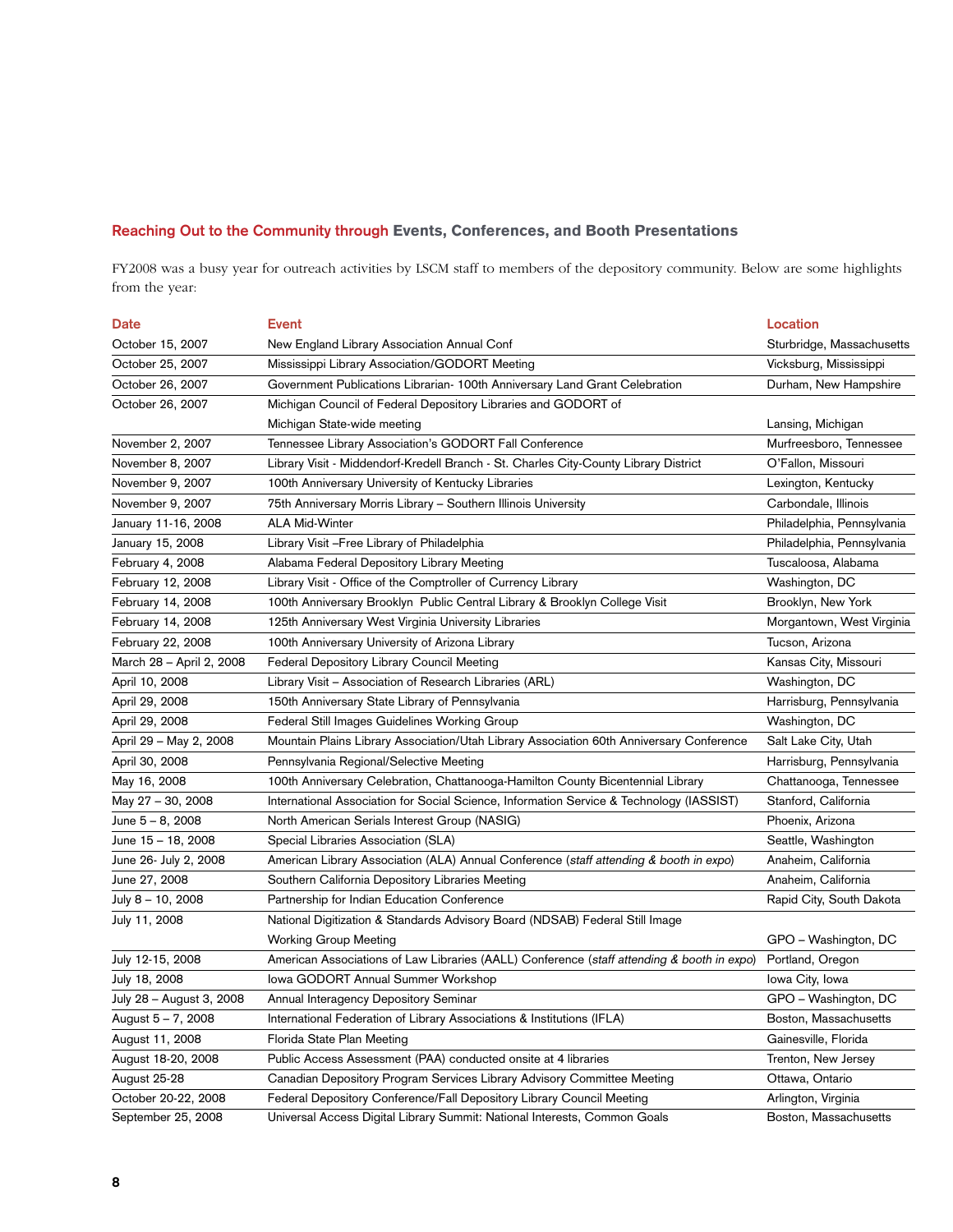### **Reaching Out to the Community through** Events, Conferences, and Booth Presentations

FY2008 was a busy year for outreach activities by LSCM staff to members of the depository community. Below are some highlights from the year:

| <b>Date</b>              | <b>Event</b>                                                                               | Location                   |  |  |
|--------------------------|--------------------------------------------------------------------------------------------|----------------------------|--|--|
| October 15, 2007         | New England Library Association Annual Conf                                                | Sturbridge, Massachusetts  |  |  |
| October 25, 2007         | Mississippi Library Association/GODORT Meeting                                             | Vicksburg, Mississippi     |  |  |
| October 26, 2007         | Government Publications Librarian- 100th Anniversary Land Grant Celebration                | Durham, New Hampshire      |  |  |
| October 26, 2007         | Michigan Council of Federal Depository Libraries and GODORT of                             |                            |  |  |
|                          | Michigan State-wide meeting                                                                | Lansing, Michigan          |  |  |
| November 2, 2007         | Tennessee Library Association's GODORT Fall Conference                                     | Murfreesboro, Tennessee    |  |  |
| November 8, 2007         | Library Visit - Middendorf-Kredell Branch - St. Charles City-County Library District       | O'Fallon, Missouri         |  |  |
| November 9, 2007         | 100th Anniversary University of Kentucky Libraries                                         | Lexington, Kentucky        |  |  |
| November 9, 2007         | 75th Anniversary Morris Library - Southern Illinois University                             | Carbondale, Illinois       |  |  |
| January 11-16, 2008      | <b>ALA Mid-Winter</b>                                                                      | Philadelphia, Pennsylvania |  |  |
| January 15, 2008         | Library Visit - Free Library of Philadelphia                                               | Philadelphia, Pennsylvania |  |  |
| February 4, 2008         | Alabama Federal Depository Library Meeting                                                 | Tuscaloosa, Alabama        |  |  |
| February 12, 2008        | Library Visit - Office of the Comptroller of Currency Library<br>Washington, DC            |                            |  |  |
| February 14, 2008        | 100th Anniversary Brooklyn Public Central Library & Brooklyn College Visit                 | Brooklyn, New York         |  |  |
| February 14, 2008        | 125th Anniversary West Virginia University Libraries                                       | Morgantown, West Virginia  |  |  |
| February 22, 2008        | 100th Anniversary University of Arizona Library                                            | Tucson, Arizona            |  |  |
| March 28 - April 2, 2008 | Federal Depository Library Council Meeting                                                 | Kansas City, Missouri      |  |  |
| April 10, 2008           | Library Visit - Association of Research Libraries (ARL)                                    | Washington, DC             |  |  |
| April 29, 2008           | 150th Anniversary State Library of Pennsylvania                                            | Harrisburg, Pennsylvania   |  |  |
| April 29, 2008           | Federal Still Images Guidelines Working Group                                              | Washington, DC             |  |  |
| April 29 - May 2, 2008   | Mountain Plains Library Association/Utah Library Association 60th Anniversary Conference   | Salt Lake City, Utah       |  |  |
| April 30, 2008           | Pennsylvania Regional/Selective Meeting                                                    | Harrisburg, Pennsylvania   |  |  |
| May 16, 2008             | 100th Anniversary Celebration, Chattanooga-Hamilton County Bicentennial Library            | Chattanooga, Tennessee     |  |  |
| May 27 - 30, 2008        | International Association for Social Science, Information Service & Technology (IASSIST)   | Stanford, California       |  |  |
| June 5 - 8, 2008         | North American Serials Interest Group (NASIG)                                              | Phoenix, Arizona           |  |  |
| June 15 - 18, 2008       | Special Libraries Association (SLA)                                                        | Seattle, Washington        |  |  |
| June 26- July 2, 2008    | American Library Association (ALA) Annual Conference (staff attending & booth in expo)     | Anaheim, California        |  |  |
| June 27, 2008            | Southern California Depository Libraries Meeting                                           | Anaheim, California        |  |  |
| July 8 - 10, 2008        | Partnership for Indian Education Conference                                                | Rapid City, South Dakota   |  |  |
| July 11, 2008            | National Digitization & Standards Advisory Board (NDSAB) Federal Still Image               |                            |  |  |
|                          | Working Group Meeting                                                                      | GPO – Washington, DC       |  |  |
| July 12-15, 2008         | American Associations of Law Libraries (AALL) Conference (staff attending & booth in expo) | Portland, Oregon           |  |  |
| July 18, 2008            | Iowa GODORT Annual Summer Workshop                                                         | lowa City, Iowa            |  |  |
| July 28 - August 3, 2008 | Annual Interagency Depository Seminar                                                      | GPO – Washington, DC       |  |  |
| August 5 - 7, 2008       | International Federation of Library Associations & Institutions (IFLA)                     | Boston, Massachusetts      |  |  |
| August 11, 2008          | Florida State Plan Meeting                                                                 | Gainesville, Florida       |  |  |
| August 18-20, 2008       | Public Access Assessment (PAA) conducted onsite at 4 libraries                             | Trenton, New Jersey        |  |  |
| August 25-28             | Canadian Depository Program Services Library Advisory Committee Meeting                    | Ottawa, Ontario            |  |  |
| October 20-22, 2008      | Federal Depository Conference/Fall Depository Library Council Meeting                      | Arlington, Virginia        |  |  |
| September 25, 2008       | Universal Access Digital Library Summit: National Interests, Common Goals                  | Boston, Massachusetts      |  |  |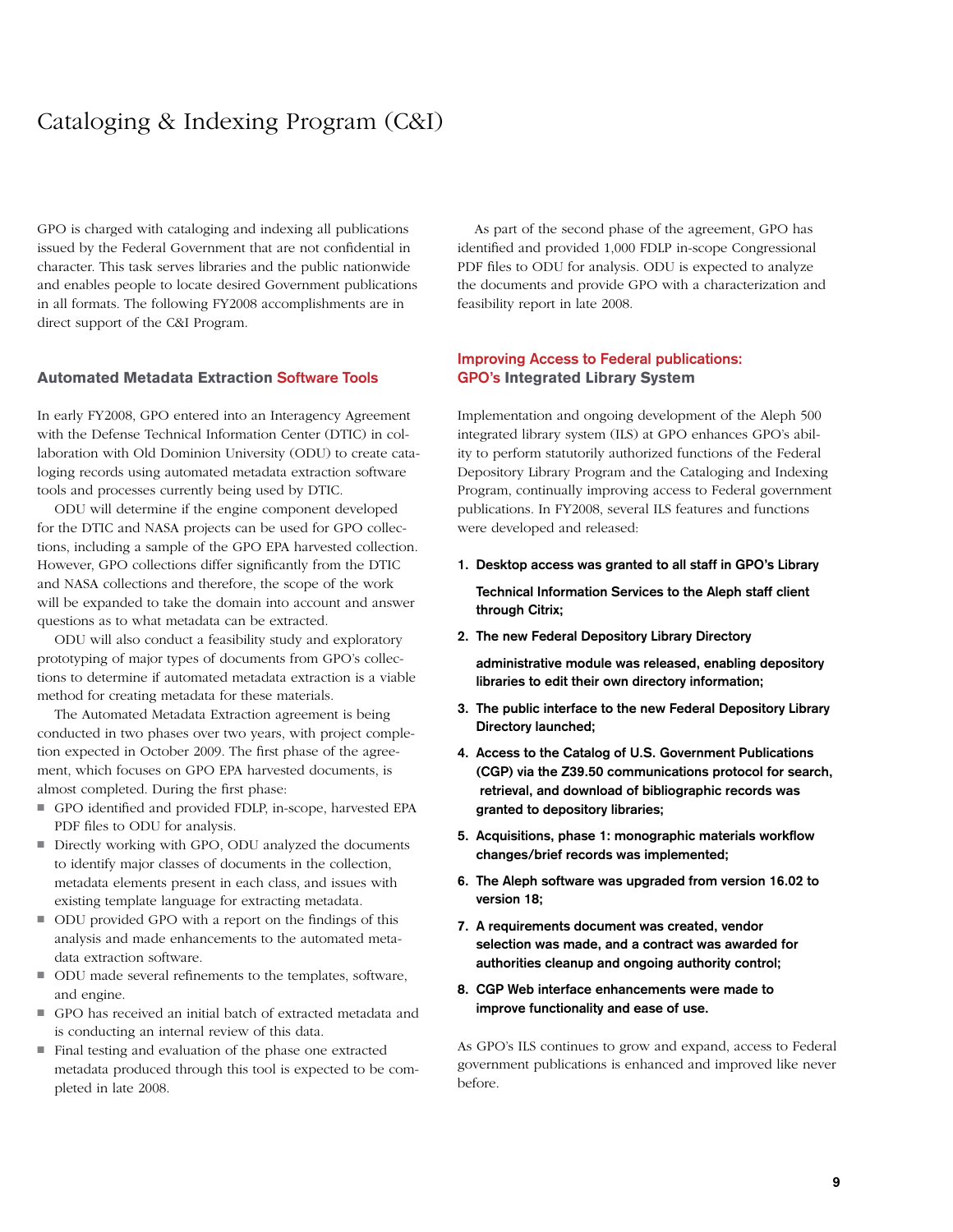### Cataloging & Indexing Program (C&I)

GPO is charged with cataloging and indexing all publications issued by the Federal Government that are not confidential in character. This task serves libraries and the public nationwide and enables people to locate desired Government publications in all formats. The following FY2008 accomplishments are in direct support of the C&I Program.

#### Automated Metadata Extraction **Software Tools**

In early FY2008, GPO entered into an Interagency Agreement with the Defense Technical Information Center (DTIC) in collaboration with Old Dominion University (ODU) to create cataloging records using automated metadata extraction software tools and processes currently being used by DTIC.

ODU will determine if the engine component developed for the DTIC and NASA projects can be used for GPO collections, including a sample of the GPO EPA harvested collection. However, GPO collections differ significantly from the DTIC and NASA collections and therefore, the scope of the work will be expanded to take the domain into account and answer questions as to what metadata can be extracted.

ODU will also conduct a feasibility study and exploratory prototyping of major types of documents from GPO's collections to determine if automated metadata extraction is a viable method for creating metadata for these materials.

The Automated Metadata Extraction agreement is being conducted in two phases over two years, with project completion expected in October 2009. The first phase of the agreement, which focuses on GPO EPA harvested documents, is almost completed. During the first phase:

- GPO identified and provided FDLP, in-scope, harvested EPA PDF files to ODU for analysis.
- Directly working with GPO, ODU analyzed the documents to identify major classes of documents in the collection, metadata elements present in each class, and issues with existing template language for extracting metadata.
- ODU provided GPO with a report on the findings of this analysis and made enhancements to the automated metadata extraction software.
- ODU made several refinements to the templates, software, and engine.
- GPO has received an initial batch of extracted metadata and is conducting an internal review of this data.
- $\blacksquare$  Final testing and evaluation of the phase one extracted metadata produced through this tool is expected to be completed in late 2008.

As part of the second phase of the agreement, GPO has identified and provided 1,000 FDLP in-scope Congressional PDF files to ODU for analysis. ODU is expected to analyze the documents and provide GPO with a characterization and feasibility report in late 2008.

#### **Improving Access to Federal publications: GPO's** Integrated Library System

Implementation and ongoing development of the Aleph 500 integrated library system (ILS) at GPO enhances GPO's ability to perform statutorily authorized functions of the Federal Depository Library Program and the Cataloging and Indexing Program, continually improving access to Federal government publications. In FY2008, several ILS features and functions were developed and released:

- **1. Desktop access was granted to all staff in GPO's Library Technical Information Services to the Aleph staff client through Citrix;**
- **2. The new Federal Depository Library Directory**

**administrative module was released, enabling depository libraries to edit their own directory information;**

- **3. The public interface to the new Federal Depository Library Directory launched;**
- **4. Access to the Catalog of U.S. Government Publications (CGP) via the Z39.50 communications protocol for search, retrieval, and download of bibliographic records was granted to depository libraries;**
- **5. Acquisitions, phase 1: monographic materials workflow changes/brief records was implemented;**
- **6. The Aleph software was upgraded from version 16.02 to version 18;**
- **7. A requirements document was created, vendor selection was made, and a contract was awarded for authorities cleanup and ongoing authority control;**
- **8. CGP Web interface enhancements were made to improve functionality and ease of use.**

As GPO's ILS continues to grow and expand, access to Federal government publications is enhanced and improved like never before.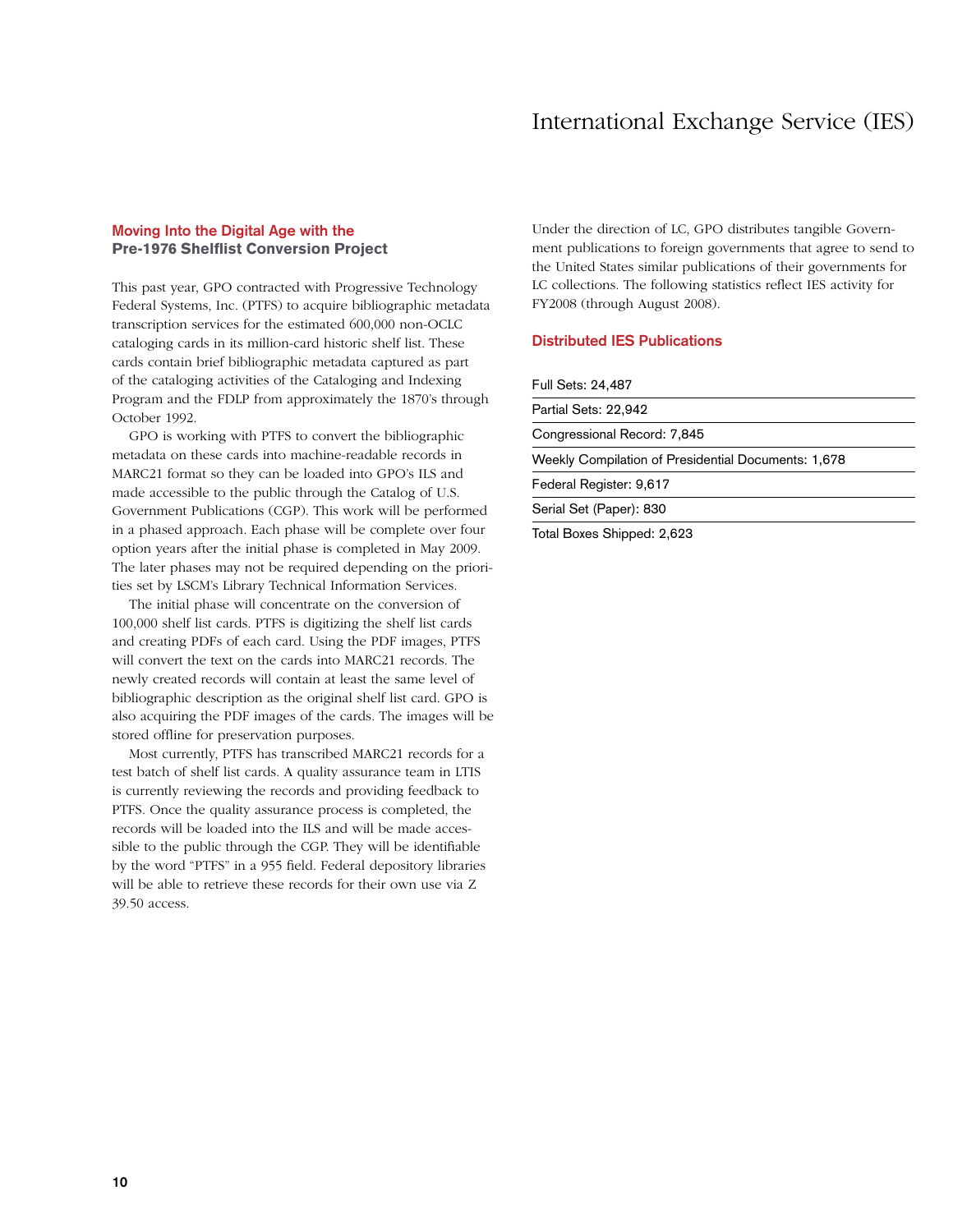### International Exchange Service (IES)

#### **Moving Into the Digital Age with the**  Pre-1976 Shelflist Conversion Project

This past year, GPO contracted with Progressive Technology Federal Systems, Inc. (PTFS) to acquire bibliographic metadata transcription services for the estimated 600,000 non-OCLC cataloging cards in its million-card historic shelf list. These cards contain brief bibliographic metadata captured as part of the cataloging activities of the Cataloging and Indexing Program and the FDLP from approximately the 1870's through October 1992.

GPO is working with PTFS to convert the bibliographic metadata on these cards into machine-readable records in MARC21 format so they can be loaded into GPO's ILS and made accessible to the public through the Catalog of U.S. Government Publications (CGP). This work will be performed in a phased approach. Each phase will be complete over four option years after the initial phase is completed in May 2009. The later phases may not be required depending on the priorities set by LSCM's Library Technical Information Services.

The initial phase will concentrate on the conversion of 100,000 shelf list cards. PTFS is digitizing the shelf list cards and creating PDFs of each card. Using the PDF images, PTFS will convert the text on the cards into MARC21 records. The newly created records will contain at least the same level of bibliographic description as the original shelf list card. GPO is also acquiring the PDF images of the cards. The images will be stored offline for preservation purposes.

Most currently, PTFS has transcribed MARC21 records for a test batch of shelf list cards. A quality assurance team in LTIS is currently reviewing the records and providing feedback to PTFS. Once the quality assurance process is completed, the records will be loaded into the ILS and will be made accessible to the public through the CGP. They will be identifiable by the word "PTFS" in a 955 field. Federal depository libraries will be able to retrieve these records for their own use via Z 39.50 access.

Under the direction of LC, GPO distributes tangible Government publications to foreign governments that agree to send to the United States similar publications of their governments for LC collections. The following statistics reflect IES activity for FY2008 (through August 2008).

#### **Distributed IES Publications**

#### Full Sets: 24,487

| Partial Sets: 22,942                                |
|-----------------------------------------------------|
| Congressional Record: 7,845                         |
| Weekly Compilation of Presidential Documents: 1,678 |
| Federal Register: 9,617                             |
| Serial Set (Paper): 830                             |
|                                                     |

Total Boxes Shipped: 2,623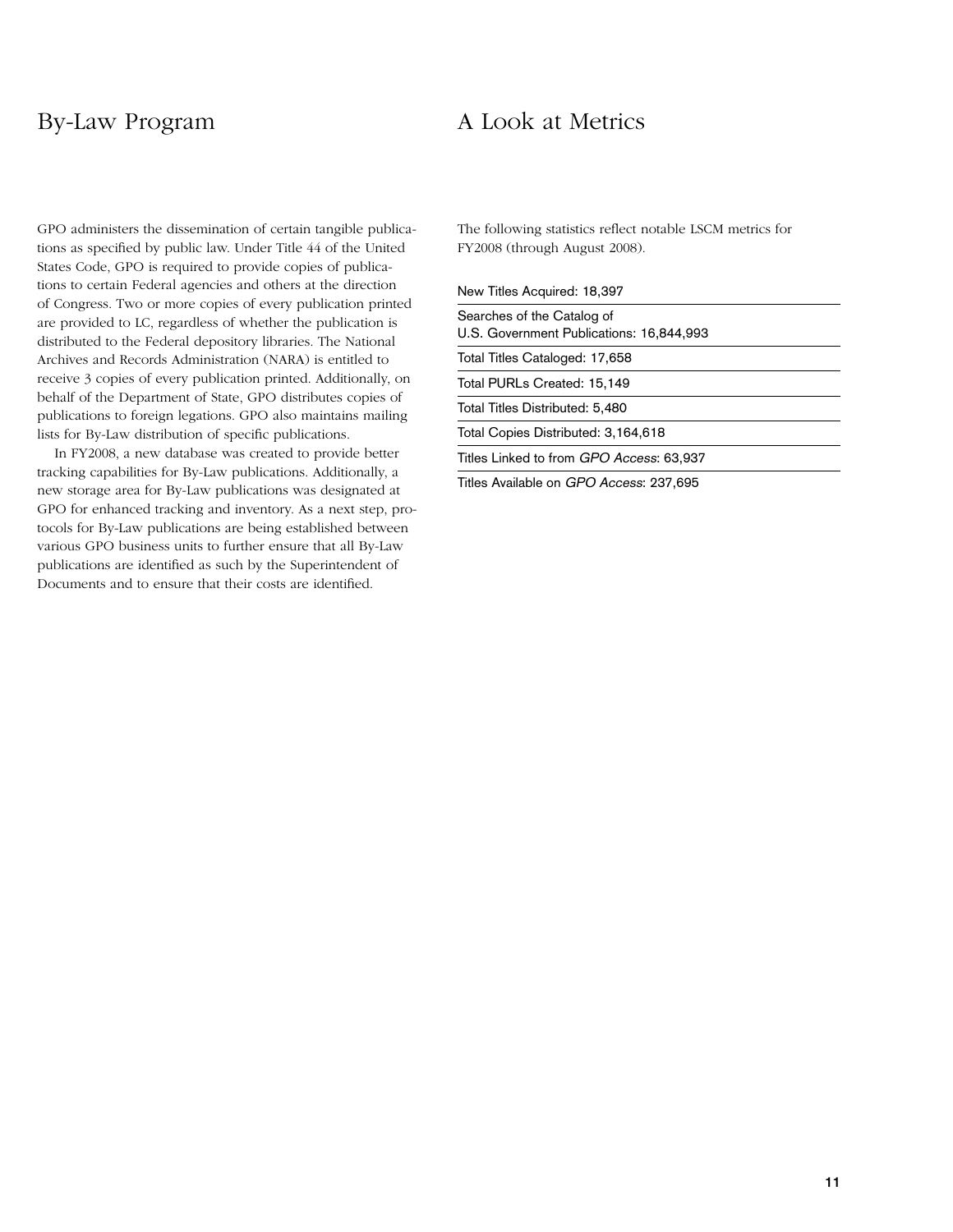### By-Law Program A Look at Metrics

GPO administers the dissemination of certain tangible publications as specified by public law. Under Title 44 of the United States Code, GPO is required to provide copies of publications to certain Federal agencies and others at the direction of Congress. Two or more copies of every publication printed are provided to LC, regardless of whether the publication is distributed to the Federal depository libraries. The National Archives and Records Administration (NARA) is entitled to receive 3 copies of every publication printed. Additionally, on behalf of the Department of State, GPO distributes copies of publications to foreign legations. GPO also maintains mailing lists for By-Law distribution of specific publications.

In FY2008, a new database was created to provide better tracking capabilities for By-Law publications. Additionally, a new storage area for By-Law publications was designated at GPO for enhanced tracking and inventory. As a next step, protocols for By-Law publications are being established between various GPO business units to further ensure that all By-Law publications are identified as such by the Superintendent of Documents and to ensure that their costs are identified.

The following statistics reflect notable LSCM metrics for FY2008 (through August 2008).

|  |  | New Titles Acquired: 18,397 |
|--|--|-----------------------------|
|  |  |                             |

| Searches of the Catalog of<br>U.S. Government Publications: 16,844,993 |  |
|------------------------------------------------------------------------|--|
| Total Titles Cataloged: 17,658                                         |  |
| Total PURLs Created: 15,149                                            |  |
| Total Titles Distributed: 5,480                                        |  |
| Total Copies Distributed: 3,164,618                                    |  |
| Titles Linked to from GPO Access: 63,937                               |  |
| Titles Available on GPO Access: 237,695                                |  |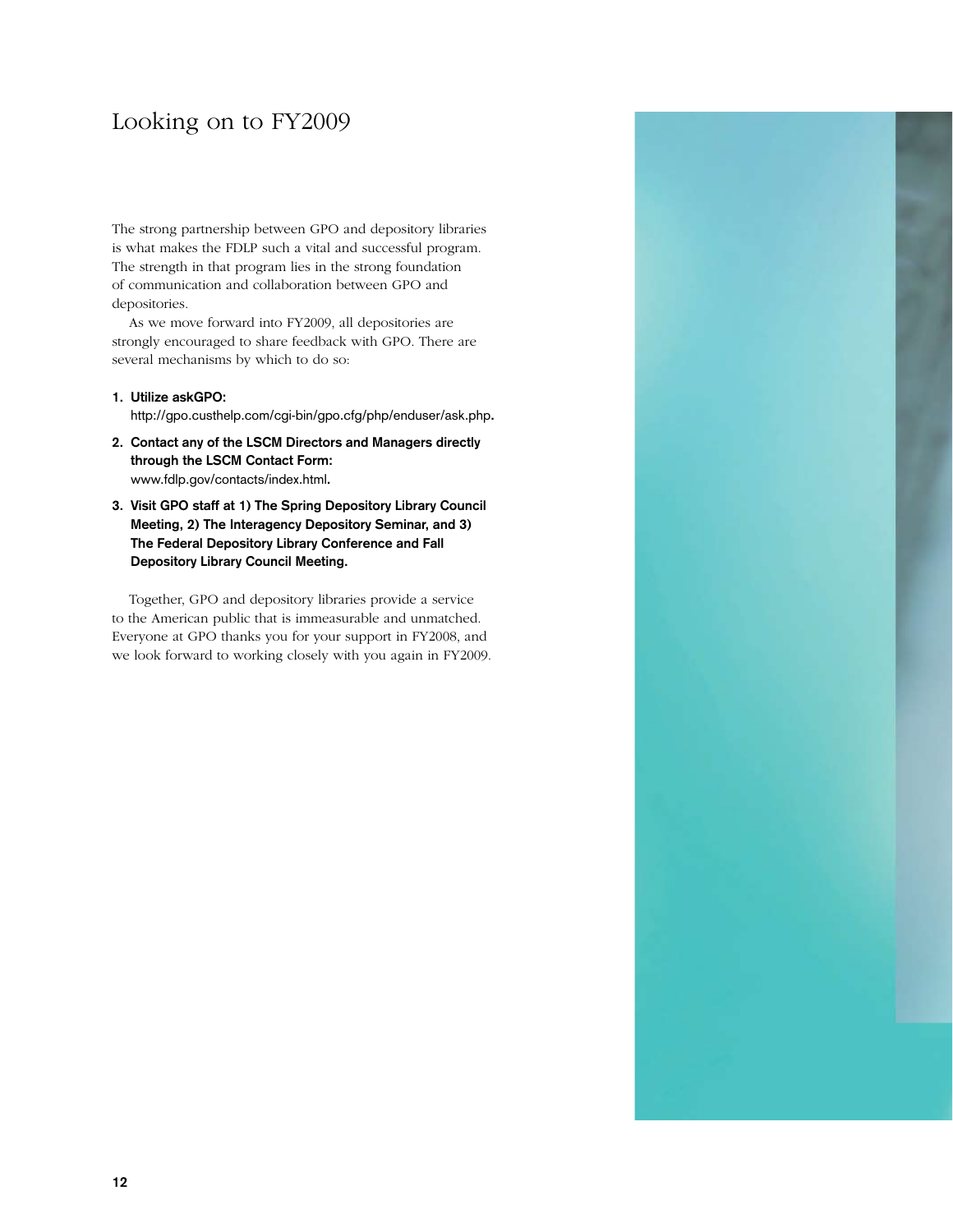## Looking on to FY2009

The strong partnership between GPO and depository libraries is what makes the FDLP such a vital and successful program. The strength in that program lies in the strong foundation of communication and collaboration between GPO and depositories.

As we move forward into FY2009, all depositories are strongly encouraged to share feedback with GPO. There are several mechanisms by which to do so:

**1. Utilize askGPO:** 

http://gpo.custhelp.com/cgi-bin/gpo.cfg/php/enduser/ask.php**.**

- **2. Contact any of the LSCM Directors and Managers directly through the LSCM Contact Form:**  www.fdlp.gov/contacts/index.html**.**
- **3. Visit GPO staff at 1) The Spring Depository Library Council Meeting, 2) The Interagency Depository Seminar, and 3) The Federal Depository Library Conference and Fall Depository Library Council Meeting.**

Together, GPO and depository libraries provide a service to the American public that is immeasurable and unmatched. Everyone at GPO thanks you for your support in FY2008, and we look forward to working closely with you again in FY2009.

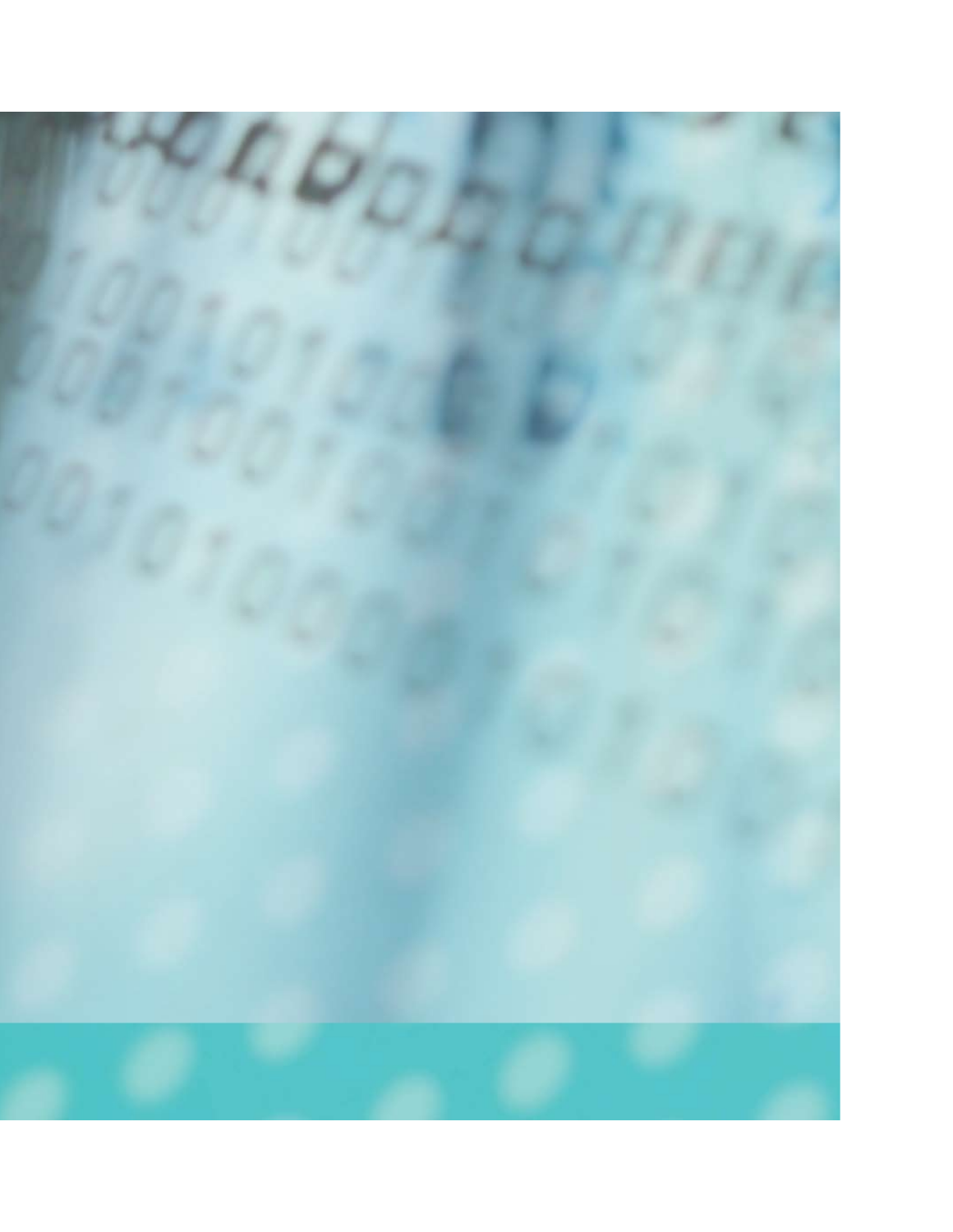